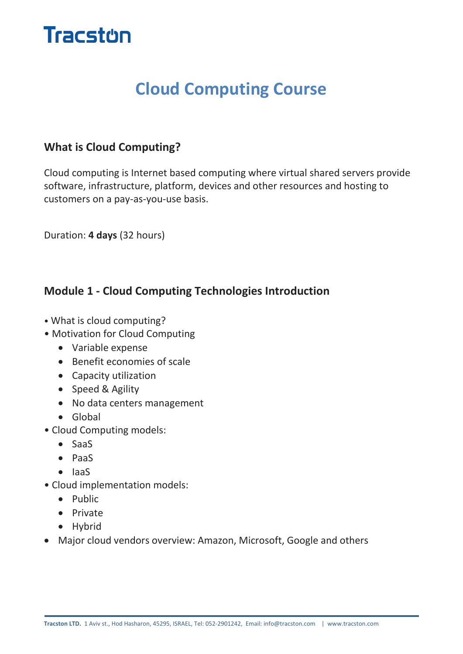

# **Cloud Computing Course**

# **What is Cloud Computing?**

Cloud computing is Internet based computing where virtual shared servers provide software, infrastructure, platform, devices and other resources and hosting to customers on a pay-as-you-use basis.

Duration: **4 days** (32 hours)

# **Module 1 - Cloud Computing Technologies Introduction**

- What is cloud computing?
- Motivation for Cloud Computing
	- Variable expense
	- Benefit economies of scale
	- Capacity utilization
	- Speed & Agility
	- No data centers management
	- Global
- Cloud Computing models:
	- SaaS
	- PaaS
	- $\bullet$  laaS
- Cloud implementation models:
	- Public
	- Private
	- Hybrid
- Major cloud vendors overview: Amazon, Microsoft, Google and others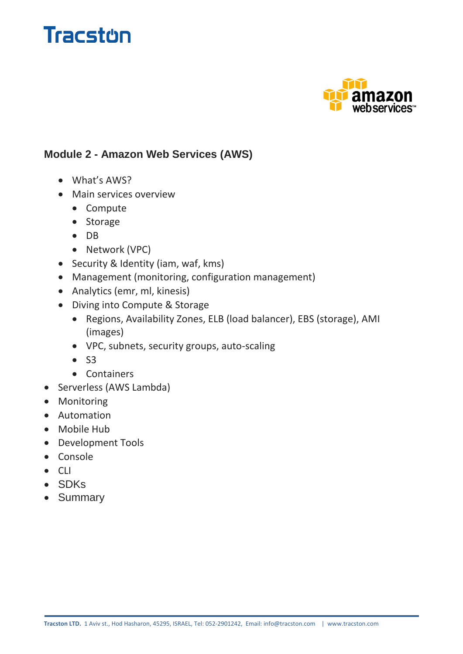



#### **Module 2 - Amazon Web Services (AWS)**

- What's AWS?
- Main services overview
	- Compute
	- Storage
	- DB
	- Network (VPC)
- Security & Identity (iam, waf, kms)
- Management (monitoring, configuration management)
- Analytics (emr, ml, kinesis)
- Diving into Compute & Storage
	- Regions, Availability Zones, ELB (load balancer), EBS (storage), AMI (images)
	- VPC, subnets, security groups, auto-scaling
	- $\bullet$  S3
	- Containers
- Serverless (AWS Lambda)
- Monitoring
- Automation
- Mobile Hub
- Development Tools
- Console
- $\bullet$  CLI
- SDKs
- Summary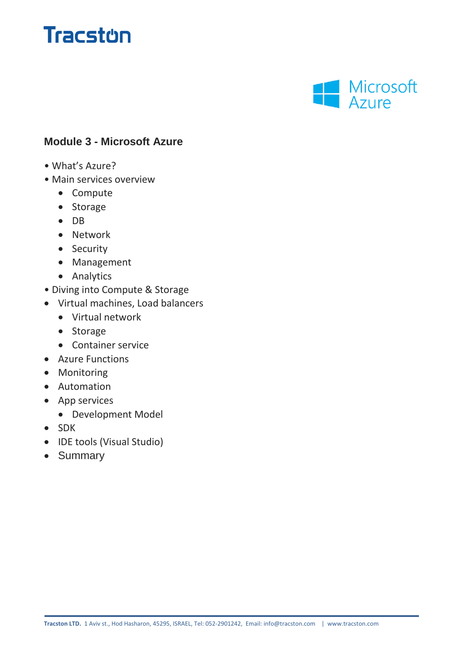# **Tracston**



#### **Module 3 - Microsoft Azure**

- What's Azure?
- Main services overview
	- Compute
	- Storage
	- $\bullet$  DB
	- Network
	- Security
	- Management
	- Analytics
- Diving into Compute & Storage
- Virtual machines, Load balancers
	- Virtual network
	- Storage
	- Container service
- Azure Functions
- Monitoring
- Automation
- App services
	- Development Model
- SDK
- IDE tools (Visual Studio)
- Summary